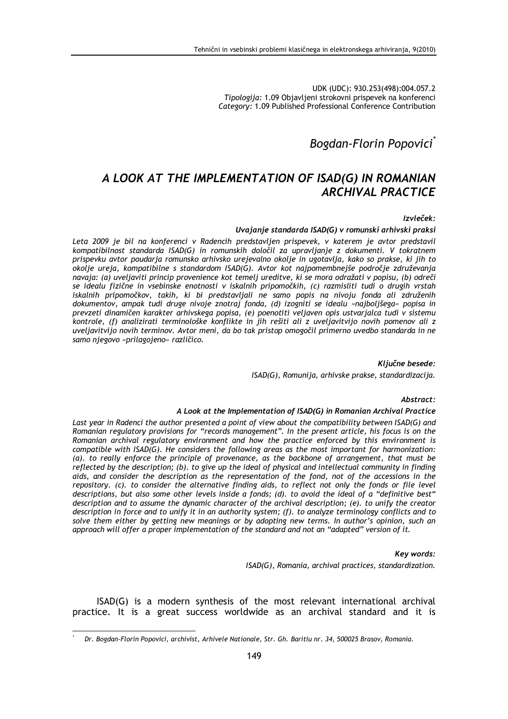UDK (UDC): 930.253(498):004.057.2 Tipologija: 1.09 Objavljeni strokovni prispevek na konferenci Category: 1.09 Published Professional Conference Contribution

# Bogdan-Florin Popovici<sup>®</sup>

# A LOOK AT THE IMPLEMENTATION OF ISAD(G) IN ROMANIAN ARCHIVAL PRACTICE

#### Izvleček:

#### Uvajanje standarda ISAD(G) v romunski arhivski praksi

Leta 2009 je bil na konferenci v Radencih predstavljen prispevek, v katerem je avtor predstavil kompatibilnost standarda ISAD(G) in romunskih določil za upravljanje z dokumenti. V tokratnem prispevku avtor poudarja romunsko arhivsko urejevalno okolje in ugotavlja, kako so prakse, ki jih to okolje ureja, kompatibilne s standardom ISAD(G). Avtor kot najpomembnejše področje združevanja navaja: (a) uveljaviti princip provenience kot temelj ureditve, ki se mora odražati v popisu, (b) odreči se idealu fizične in vsebinske enotnosti v iskalnih pripomočkih, (c) razmisliti tudi o drugih vrstah iskalnih pripomočkov, takih, ki bi predstavljali ne samo popis na nivoju fonda ali združenih dokumentov, ampak tudi druge nivoje znotraj fonda, (d) izogniti se idealu »najboljšega« popisa in prevzeti dinamičen karakter arhivskega popisa, (e) poenotiti veljaven opis ustvarjalca tudi v sistemu kontrole, (f) analizirati terminološke konflikte in jih rešiti ali z uveljavitvijo novih pomenov ali z uveljavitvijo novih terminov. Avtor meni, da bo tak pristop omogočil primerno uvedbo standarda in ne samo njegovo »prilagojeno« različico.

Ključne besede:

ISAD(G), Romunija, arhivske prakse, standardizacija.

#### Abstract:

#### A Look at the Implementation of ISAD(G) in Romanian Archival Practice

Last year in Radenci the author presented a point of view about the compatibility between ISAD(G) and Romanian regulatory provisions for "records management". In the present article, his focus is on the Romanian archival regulatory environment and how the practice enforced by this environment is compatible with ISAD(G). He considers the following areas as the most important for harmonization: (a). to really enforce the principle of provenance, as the backbone of arrangement, that must be reflected by the description; (b). to give up the ideal of physical and intellectual community in finding aids, and consider the description as the representation of the fond, not of the accessions in the repository. (c). to consider the alternative finding aids, to reflect not only the fonds or file level descriptions, but also some other levels inside a fonds; (d). to avoid the ideal of a "definitive best" description and to assume the dynamic character of the archival description; (e). to unify the creator description in force and to unify it in an authority system; (f). to analyze terminology conflicts and to solve them either by getting new meanings or by adopting new terms. In author's opinion, such an approach will offer a proper implementation of the standard and not an "adapted" version of it.

#### Key words:

ISAD(G), Romania, archival practices, standardization.

ISAD(G) is a modern synthesis of the most relevant international archival practice. It is a great success worldwide as an archival standard and it is

 $\overline{a}$ \*

Dr. Bogdan-Florin Popovici, archivist, Arhivele Nationale, Str. Gh. Baritiu nr. 34, 500025 Brasov, Romania.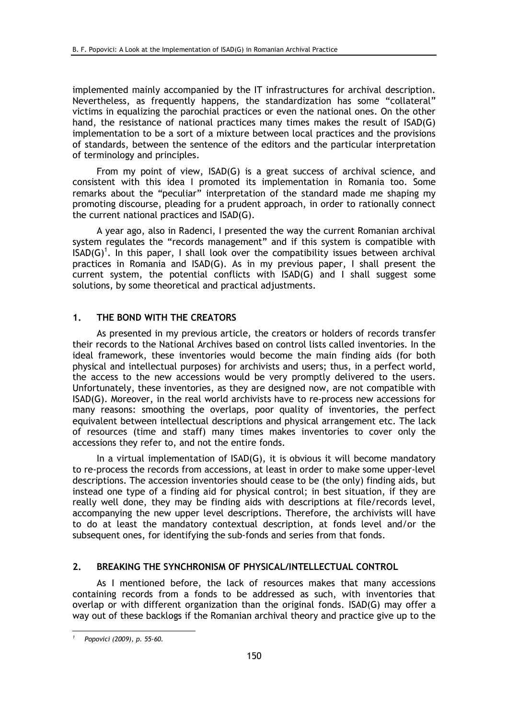implemented mainly accompanied by the IT infrastructures for archival description. Nevertheless, as frequently happens, the standardization has some "collateral" victims in equalizing the parochial practices or even the national ones. On the other hand, the resistance of national practices many times makes the result of ISAD(G) implementation to be a sort of a mixture between local practices and the provisions of standards, between the sentence of the editors and the particular interpretation of terminology and principles.

From my point of view, ISAD(G) is a great success of archival science, and consistent with this idea I promoted its implementation in Romania too. Some remarks about the "peculiar" interpretation of the standard made me shaping my promoting discourse, pleading for a prudent approach, in order to rationally connect the current national practices and ISAD(G).

A year ago, also in Radenci, I presented the way the current Romanian archival system regulates the "records management" and if this system is compatible with  $ISAD(G)^1$ . In this paper, I shall look over the compatibility issues between archival practices in Romania and ISAD(G). As in my previous paper, I shall present the current system, the potential conflicts with ISAD(G) and I shall suggest some solutions, by some theoretical and practical adjustments.

## 1. THE BOND WITH THE CREATORS

As presented in my previous article, the creators or holders of records transfer their records to the National Archives based on control lists called inventories. In the ideal framework, these inventories would become the main finding aids (for both physical and intellectual purposes) for archivists and users; thus, in a perfect world, the access to the new accessions would be very promptly delivered to the users. Unfortunately, these inventories, as they are designed now, are not compatible with ISAD(G). Moreover, in the real world archivists have to re-process new accessions for many reasons: smoothing the overlaps, poor quality of inventories, the perfect equivalent between intellectual descriptions and physical arrangement etc. The lack of resources (time and staff) many times makes inventories to cover only the accessions they refer to, and not the entire fonds.

In a virtual implementation of ISAD(G), it is obvious it will become mandatory to re-process the records from accessions, at least in order to make some upper-level descriptions. The accession inventories should cease to be (the only) finding aids, but instead one type of a finding aid for physical control; in best situation, if they are really well done, they may be finding aids with descriptions at file/records level, accompanying the new upper level descriptions. Therefore, the archivists will have to do at least the mandatory contextual description, at fonds level and/or the subsequent ones, for identifying the sub-fonds and series from that fonds.

## 2. BREAKING THE SYNCHRONISM OF PHYSICAL/INTELLECTUAL CONTROL

As I mentioned before, the lack of resources makes that many accessions containing records from a fonds to be addressed as such, with inventories that overlap or with different organization than the original fonds. ISAD(G) may offer a way out of these backlogs if the Romanian archival theory and practice give up to the

 $\overline{a}$ 

<sup>1</sup> Popovici (2009), p. 55-60.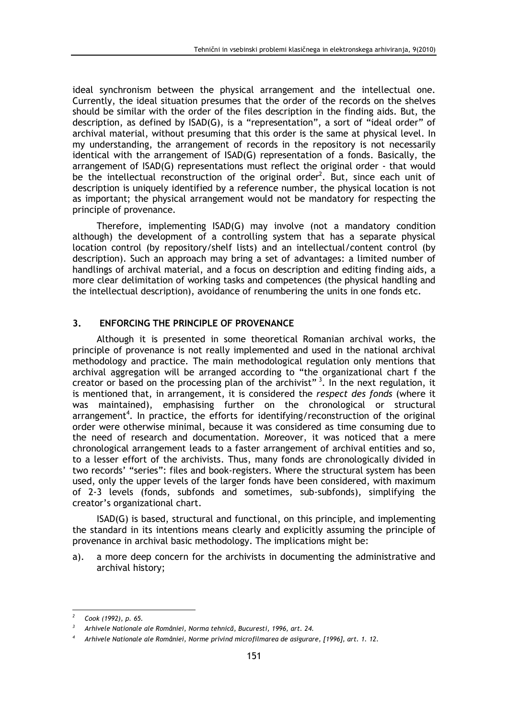ideal synchronism between the physical arrangement and the intellectual one. Currently, the ideal situation presumes that the order of the records on the shelves should be similar with the order of the files description in the finding aids. But, the description, as defined by ISAD(G), is a "representation", a sort of "ideal order" of archival material, without presuming that this order is the same at physical level. In my understanding, the arrangement of records in the repository is not necessarily identical with the arrangement of ISAD(G) representation of a fonds. Basically, the arrangement of ISAD(G) representations must reflect the original order - that would be the intellectual reconstruction of the original order<sup>2</sup>. But, since each unit of description is uniquely identified by a reference number, the physical location is not as important; the physical arrangement would not be mandatory for respecting the principle of provenance.

Therefore, implementing ISAD(G) may involve (not a mandatory condition although) the development of a controlling system that has a separate physical location control (by repository/shelf lists) and an intellectual/content control (by description). Such an approach may bring a set of advantages: a limited number of handlings of archival material, and a focus on description and editing finding aids, a more clear delimitation of working tasks and competences (the physical handling and the intellectual description), avoidance of renumbering the units in one fonds etc.

# 3. ENFORCING THE PRINCIPLE OF PROVENANCE

Although it is presented in some theoretical Romanian archival works, the principle of provenance is not really implemented and used in the national archival methodology and practice. The main methodological regulation only mentions that archival aggregation will be arranged according to "the organizational chart f the creator or based on the processing plan of the archivist"<sup>3</sup>. In the next regulation, it is mentioned that, in arrangement, it is considered the respect des fonds (where it was maintained), emphasising further on the chronological or structural arrangement<sup>4</sup>. In practice, the efforts for identifying/reconstruction of the original order were otherwise minimal, because it was considered as time consuming due to the need of research and documentation. Moreover, it was noticed that a mere chronological arrangement leads to a faster arrangement of archival entities and so, to a lesser effort of the archivists. Thus, many fonds are chronologically divided in two records' "series": files and book-registers. Where the structural system has been used, only the upper levels of the larger fonds have been considered, with maximum of 2-3 levels (fonds, subfonds and sometimes, sub-subfonds), simplifying the creator's organizational chart.

ISAD(G) is based, structural and functional, on this principle, and implementing the standard in its intentions means clearly and explicitly assuming the principle of provenance in archival basic methodology. The implications might be:

a). a more deep concern for the archivists in documenting the administrative and archival history;

l

<sup>2</sup> Cook (1992), p. 65.

<sup>3</sup> Arhivele Nationale ale României, Norma tehnică, Bucuresti, 1996, art. 24.

<sup>4</sup> Arhivele Nationale ale României, Norme privind microfilmarea de asigurare, [1996], art. 1. 12.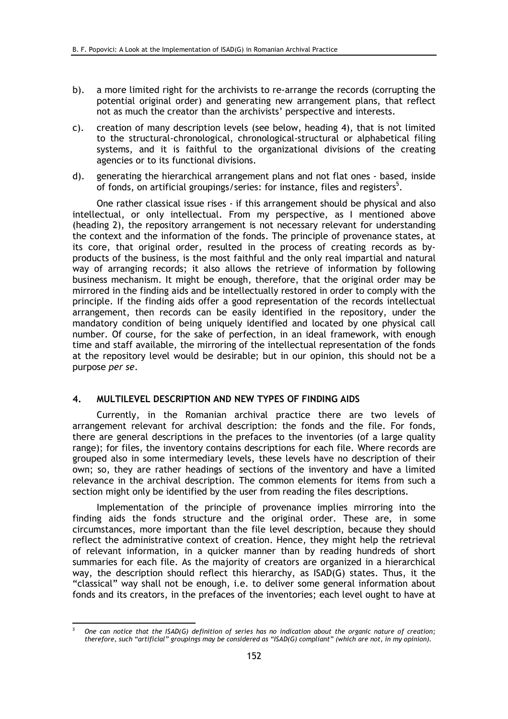- b). a more limited right for the archivists to re-arrange the records (corrupting the potential original order) and generating new arrangement plans, that reflect not as much the creator than the archivists' perspective and interests.
- c). creation of many description levels (see below, heading 4), that is not limited to the structural-chronological, chronological-structural or alphabetical filing systems, and it is faithful to the organizational divisions of the creating agencies or to its functional divisions.
- d). generating the hierarchical arrangement plans and not flat ones based, inside of fonds, on artificial groupings/series: for instance, files and registers<sup>5</sup>.

One rather classical issue rises - if this arrangement should be physical and also intellectual, or only intellectual. From my perspective, as I mentioned above (heading 2), the repository arrangement is not necessary relevant for understanding the context and the information of the fonds. The principle of provenance states, at its core, that original order, resulted in the process of creating records as byproducts of the business, is the most faithful and the only real impartial and natural way of arranging records; it also allows the retrieve of information by following business mechanism. It might be enough, therefore, that the original order may be mirrored in the finding aids and be intellectually restored in order to comply with the principle. If the finding aids offer a good representation of the records intellectual arrangement, then records can be easily identified in the repository, under the mandatory condition of being uniquely identified and located by one physical call number. Of course, for the sake of perfection, in an ideal framework, with enough time and staff available, the mirroring of the intellectual representation of the fonds at the repository level would be desirable; but in our opinion, this should not be a purpose per se.

## 4. MULTILEVEL DESCRIPTION AND NEW TYPES OF FINDING AIDS

Currently, in the Romanian archival practice there are two levels of arrangement relevant for archival description: the fonds and the file. For fonds, there are general descriptions in the prefaces to the inventories (of a large quality range); for files, the inventory contains descriptions for each file. Where records are grouped also in some intermediary levels, these levels have no description of their own; so, they are rather headings of sections of the inventory and have a limited relevance in the archival description. The common elements for items from such a section might only be identified by the user from reading the files descriptions.

Implementation of the principle of provenance implies mirroring into the finding aids the fonds structure and the original order. These are, in some circumstances, more important than the file level description, because they should reflect the administrative context of creation. Hence, they might help the retrieval of relevant information, in a quicker manner than by reading hundreds of short summaries for each file. As the majority of creators are organized in a hierarchical way, the description should reflect this hierarchy, as ISAD(G) states. Thus, it the "classical" way shall not be enough, i.e. to deliver some general information about fonds and its creators, in the prefaces of the inventories; each level ought to have at

l

<sup>5</sup> One can notice that the ISAD(G) definition of series has no indication about the organic nature of creation; therefore, such "artificial" groupings may be considered as "ISAD(G) compliant" (which are not, in my opinion).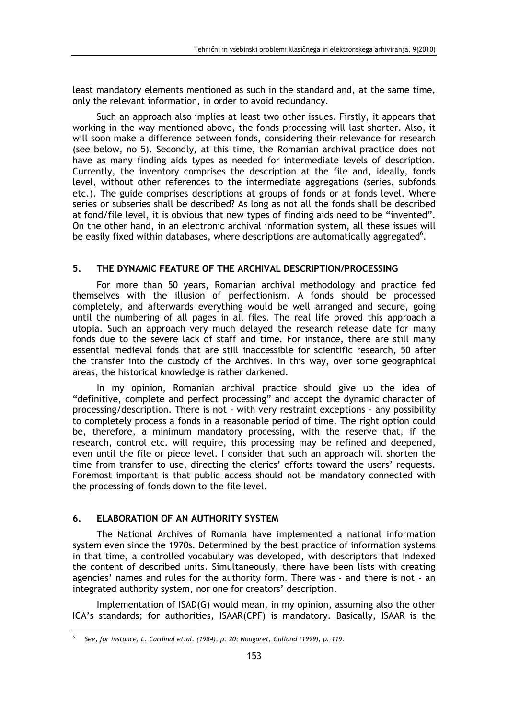least mandatory elements mentioned as such in the standard and, at the same time, only the relevant information, in order to avoid redundancy.

Such an approach also implies at least two other issues. Firstly, it appears that working in the way mentioned above, the fonds processing will last shorter. Also, it will soon make a difference between fonds, considering their relevance for research (see below, no 5). Secondly, at this time, the Romanian archival practice does not have as many finding aids types as needed for intermediate levels of description. Currently, the inventory comprises the description at the file and, ideally, fonds level, without other references to the intermediate aggregations (series, subfonds etc.). The guide comprises descriptions at groups of fonds or at fonds level. Where series or subseries shall be described? As long as not all the fonds shall be described at fond/file level, it is obvious that new types of finding aids need to be "invented". On the other hand, in an electronic archival information system, all these issues will be easily fixed within databases, where descriptions are automatically aggregated $6$ .

# 5. THE DYNAMIC FEATURE OF THE ARCHIVAL DESCRIPTION/PROCESSING

For more than 50 years, Romanian archival methodology and practice fed themselves with the illusion of perfectionism. A fonds should be processed completely, and afterwards everything would be well arranged and secure, going until the numbering of all pages in all files. The real life proved this approach a utopia. Such an approach very much delayed the research release date for many fonds due to the severe lack of staff and time. For instance, there are still many essential medieval fonds that are still inaccessible for scientific research, 50 after the transfer into the custody of the Archives. In this way, over some geographical areas, the historical knowledge is rather darkened.

In my opinion, Romanian archival practice should give up the idea of "definitive, complete and perfect processing" and accept the dynamic character of processing/description. There is not - with very restraint exceptions - any possibility to completely process a fonds in a reasonable period of time. The right option could be, therefore, a minimum mandatory processing, with the reserve that, if the research, control etc. will require, this processing may be refined and deepened, even until the file or piece level. I consider that such an approach will shorten the time from transfer to use, directing the clerics' efforts toward the users' requests. Foremost important is that public access should not be mandatory connected with the processing of fonds down to the file level.

# 6. ELABORATION OF AN AUTHORITY SYSTEM

 $\overline{a}$ 

The National Archives of Romania have implemented a national information system even since the 1970s. Determined by the best practice of information systems in that time, a controlled vocabulary was developed, with descriptors that indexed the content of described units. Simultaneously, there have been lists with creating agencies' names and rules for the authority form. There was - and there is not - an integrated authority system, nor one for creators' description.

Implementation of ISAD(G) would mean, in my opinion, assuming also the other ICA's standards; for authorities, ISAAR(CPF) is mandatory. Basically, ISAAR is the

<sup>6</sup> See, for instance, L. Cardinal et.al. (1984), p. 20; Nougaret, Galland (1999), p. 119.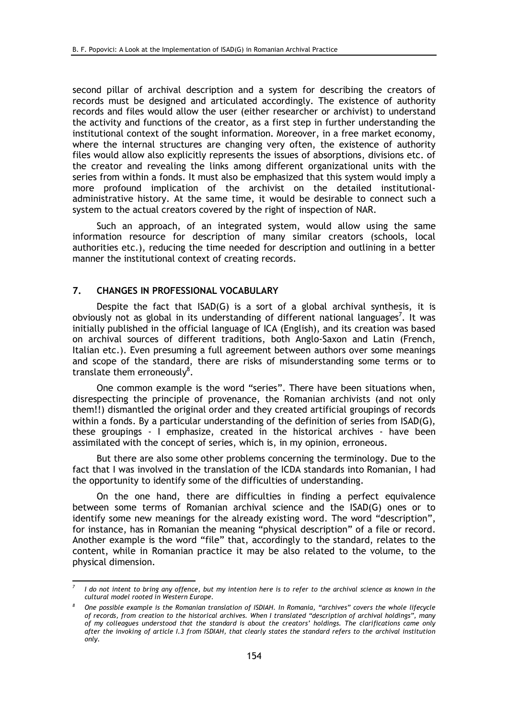second pillar of archival description and a system for describing the creators of records must be designed and articulated accordingly. The existence of authority records and files would allow the user (either researcher or archivist) to understand the activity and functions of the creator, as a first step in further understanding the institutional context of the sought information. Moreover, in a free market economy, where the internal structures are changing very often, the existence of authority files would allow also explicitly represents the issues of absorptions, divisions etc. of the creator and revealing the links among different organizational units with the series from within a fonds. It must also be emphasized that this system would imply a more profound implication of the archivist on the detailed institutionaladministrative history. At the same time, it would be desirable to connect such a system to the actual creators covered by the right of inspection of NAR.

Such an approach, of an integrated system, would allow using the same information resource for description of many similar creators (schools, local authorities etc.), reducing the time needed for description and outlining in a better manner the institutional context of creating records.

## 7. CHANGES IN PROFESSIONAL VOCABULARY

l

Despite the fact that ISAD(G) is a sort of a global archival synthesis, it is obviously not as global in its understanding of different national languages<sup>7</sup>. It was initially published in the official language of ICA (English), and its creation was based on archival sources of different traditions, both Anglo-Saxon and Latin (French, Italian etc.). Even presuming a full agreement between authors over some meanings and scope of the standard, there are risks of misunderstanding some terms or to translate them erroneously $^8$ .

One common example is the word "series". There have been situations when, disrespecting the principle of provenance, the Romanian archivists (and not only them!!) dismantled the original order and they created artificial groupings of records within a fonds. By a particular understanding of the definition of series from ISAD(G), these groupings - I emphasize, created in the historical archives - have been assimilated with the concept of series, which is, in my opinion, erroneous.

But there are also some other problems concerning the terminology. Due to the fact that I was involved in the translation of the ICDA standards into Romanian, I had the opportunity to identify some of the difficulties of understanding.

On the one hand, there are difficulties in finding a perfect equivalence between some terms of Romanian archival science and the ISAD(G) ones or to identify some new meanings for the already existing word. The word "description", for instance, has in Romanian the meaning "physical description" of a file or record. Another example is the word "file" that, accordingly to the standard, relates to the content, while in Romanian practice it may be also related to the volume, to the physical dimension.

<sup>7</sup> I do not intent to bring any offence, but my intention here is to refer to the archival science as known in the cultural model rooted in Western Europe.

<sup>8</sup> One possible example is the Romanian translation of ISDIAH. In Romania, "archives" covers the whole lifecycle of records, from creation to the historical archives. When I translated "description of archival holdings", many of my colleagues understood that the standard is about the creators' holdings. The clarifications came only after the invoking of article I.3 from ISDIAH, that clearly states the standard refers to the archival institution only.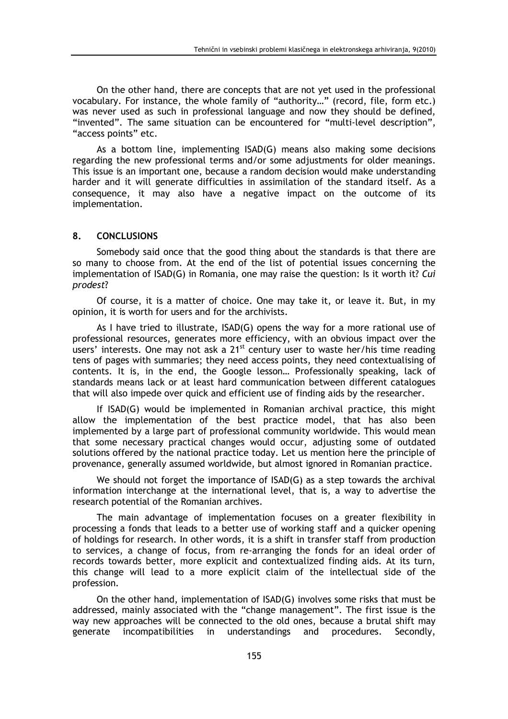On the other hand, there are concepts that are not yet used in the professional vocabulary. For instance, the whole family of "authority…" (record, file, form etc.) was never used as such in professional language and now they should be defined, "invented". The same situation can be encountered for "multi-level description", "access points" etc.

As a bottom line, implementing ISAD(G) means also making some decisions regarding the new professional terms and/or some adjustments for older meanings. This issue is an important one, because a random decision would make understanding harder and it will generate difficulties in assimilation of the standard itself. As a consequence, it may also have a negative impact on the outcome of its implementation.

## 8. CONCLUSIONS

Somebody said once that the good thing about the standards is that there are so many to choose from. At the end of the list of potential issues concerning the implementation of ISAD(G) in Romania, one may raise the question: Is it worth it? Cui prodest?

Of course, it is a matter of choice. One may take it, or leave it. But, in my opinion, it is worth for users and for the archivists.

As I have tried to illustrate, ISAD(G) opens the way for a more rational use of professional resources, generates more efficiency, with an obvious impact over the users' interests. One may not ask a 21<sup>st</sup> century user to waste her/his time reading tens of pages with summaries; they need access points, they need contextualising of contents. It is, in the end, the Google lesson… Professionally speaking, lack of standards means lack or at least hard communication between different catalogues that will also impede over quick and efficient use of finding aids by the researcher.

If ISAD(G) would be implemented in Romanian archival practice, this might allow the implementation of the best practice model, that has also been implemented by a large part of professional community worldwide. This would mean that some necessary practical changes would occur, adjusting some of outdated solutions offered by the national practice today. Let us mention here the principle of provenance, generally assumed worldwide, but almost ignored in Romanian practice.

We should not forget the importance of ISAD(G) as a step towards the archival information interchange at the international level, that is, a way to advertise the research potential of the Romanian archives.

The main advantage of implementation focuses on a greater flexibility in processing a fonds that leads to a better use of working staff and a quicker opening of holdings for research. In other words, it is a shift in transfer staff from production to services, a change of focus, from re-arranging the fonds for an ideal order of records towards better, more explicit and contextualized finding aids. At its turn, this change will lead to a more explicit claim of the intellectual side of the profession.

On the other hand, implementation of ISAD(G) involves some risks that must be addressed, mainly associated with the "change management". The first issue is the way new approaches will be connected to the old ones, because a brutal shift may generate incompatibilities in understandings and procedures. Secondly,